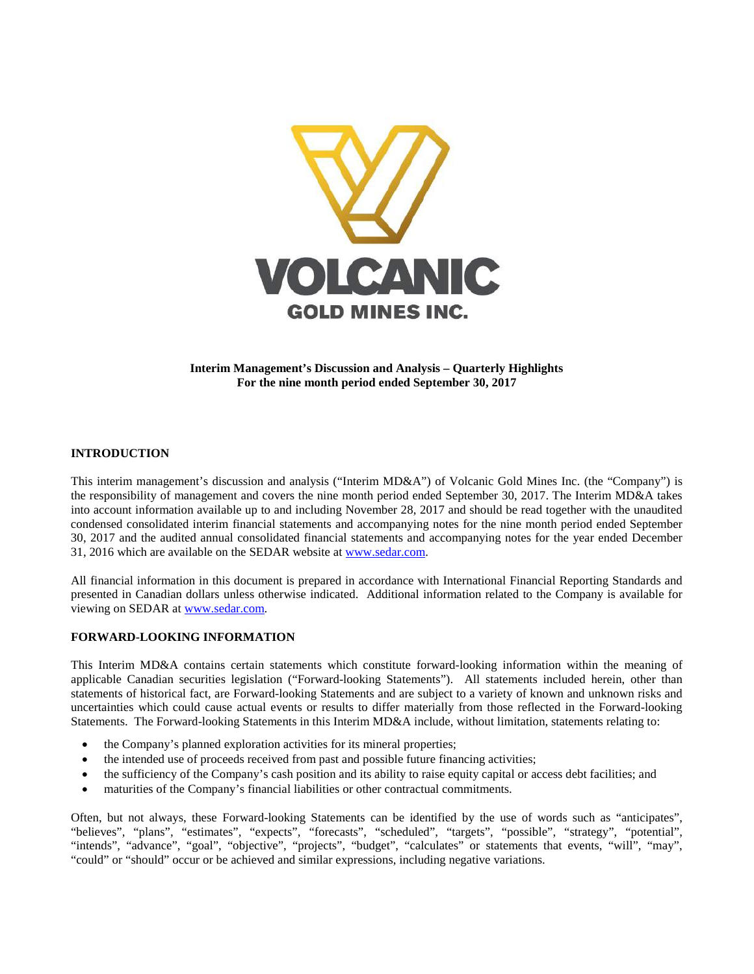

**Interim Management's Discussion and Analysis – Quarterly Highlights For the nine month period ended September 30, 2017**

## **INTRODUCTION**

This interim management's discussion and analysis ("Interim MD&A") of Volcanic Gold Mines Inc. (the "Company") is the responsibility of management and covers the nine month period ended September 30, 2017. The Interim MD&A takes into account information available up to and including November 28, 2017 and should be read together with the unaudited condensed consolidated interim financial statements and accompanying notes for the nine month period ended September 30, 2017 and the audited annual consolidated financial statements and accompanying notes for the year ended December 31, 2016 which are available on the SEDAR website at [www.sedar.com.](http://www.sedar.com/)

All financial information in this document is prepared in accordance with International Financial Reporting Standards and presented in Canadian dollars unless otherwise indicated. Additional information related to the Company is available for viewing on SEDAR at [www.sedar.com.](http://www.sedar.com/)

#### **FORWARD-LOOKING INFORMATION**

This Interim MD&A contains certain statements which constitute forward-looking information within the meaning of applicable Canadian securities legislation ("Forward-looking Statements"). All statements included herein, other than statements of historical fact, are Forward-looking Statements and are subject to a variety of known and unknown risks and uncertainties which could cause actual events or results to differ materially from those reflected in the Forward-looking Statements. The Forward-looking Statements in this Interim MD&A include, without limitation, statements relating to:

- the Company's planned exploration activities for its mineral properties;
- the intended use of proceeds received from past and possible future financing activities;
- the sufficiency of the Company's cash position and its ability to raise equity capital or access debt facilities; and
- maturities of the Company's financial liabilities or other contractual commitments.

Often, but not always, these Forward-looking Statements can be identified by the use of words such as "anticipates", "believes", "plans", "estimates", "expects", "forecasts", "scheduled", "targets", "possible", "strategy", "potential", "intends", "advance", "goal", "objective", "projects", "budget", "calculates" or statements that events, "will", "may", "could" or "should" occur or be achieved and similar expressions, including negative variations.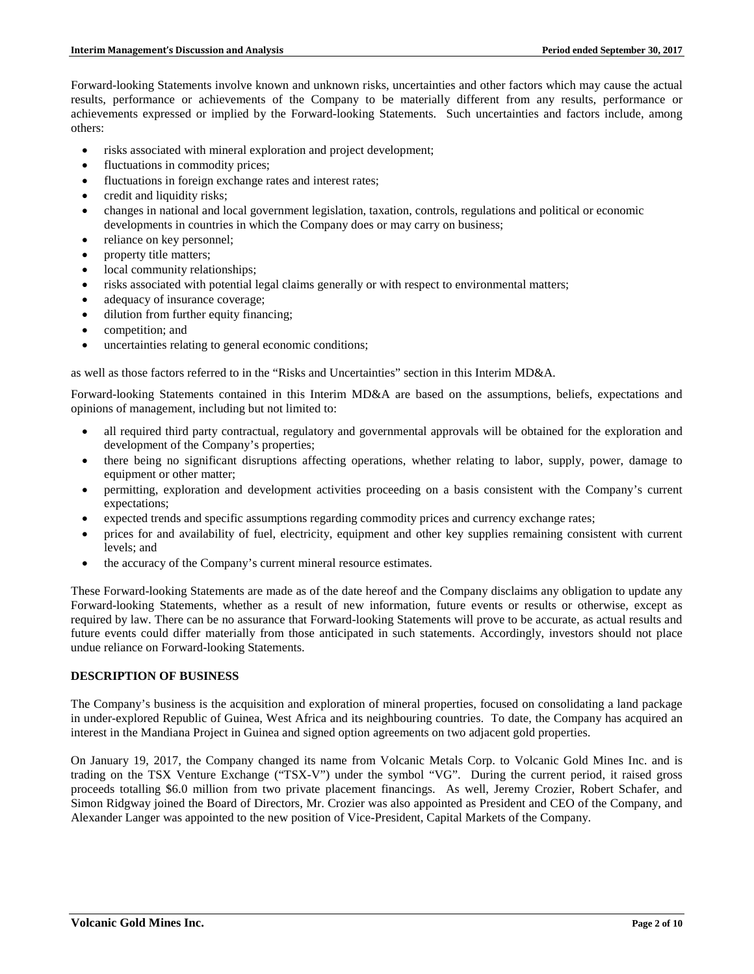Forward-looking Statements involve known and unknown risks, uncertainties and other factors which may cause the actual results, performance or achievements of the Company to be materially different from any results, performance or achievements expressed or implied by the Forward-looking Statements. Such uncertainties and factors include, among others:

- risks associated with mineral exploration and project development;
- fluctuations in commodity prices;
- fluctuations in foreign exchange rates and interest rates;
- credit and liquidity risks;
- changes in national and local government legislation, taxation, controls, regulations and political or economic developments in countries in which the Company does or may carry on business;
- reliance on key personnel;
- property title matters;
- local community relationships;
- risks associated with potential legal claims generally or with respect to environmental matters;
- adequacy of insurance coverage;
- dilution from further equity financing;
- competition; and
- uncertainties relating to general economic conditions;

as well as those factors referred to in the "Risks and Uncertainties" section in this Interim MD&A.

Forward-looking Statements contained in this Interim MD&A are based on the assumptions, beliefs, expectations and opinions of management, including but not limited to:

- all required third party contractual, regulatory and governmental approvals will be obtained for the exploration and development of the Company's properties;
- there being no significant disruptions affecting operations, whether relating to labor, supply, power, damage to equipment or other matter;
- permitting, exploration and development activities proceeding on a basis consistent with the Company's current expectations;
- expected trends and specific assumptions regarding commodity prices and currency exchange rates;
- prices for and availability of fuel, electricity, equipment and other key supplies remaining consistent with current levels; and
- the accuracy of the Company's current mineral resource estimates.

These Forward-looking Statements are made as of the date hereof and the Company disclaims any obligation to update any Forward-looking Statements, whether as a result of new information, future events or results or otherwise, except as required by law. There can be no assurance that Forward-looking Statements will prove to be accurate, as actual results and future events could differ materially from those anticipated in such statements. Accordingly, investors should not place undue reliance on Forward-looking Statements.

## **DESCRIPTION OF BUSINESS**

The Company's business is the acquisition and exploration of mineral properties, focused on consolidating a land package in under-explored Republic of Guinea, West Africa and its neighbouring countries. To date, the Company has acquired an interest in the Mandiana Project in Guinea and signed option agreements on two adjacent gold properties.

On January 19, 2017, the Company changed its name from Volcanic Metals Corp. to Volcanic Gold Mines Inc. and is trading on the TSX Venture Exchange ("TSX-V") under the symbol "VG". During the current period, it raised gross proceeds totalling \$6.0 million from two private placement financings. As well, Jeremy Crozier, Robert Schafer, and Simon Ridgway joined the Board of Directors, Mr. Crozier was also appointed as President and CEO of the Company, and Alexander Langer was appointed to the new position of Vice-President, Capital Markets of the Company.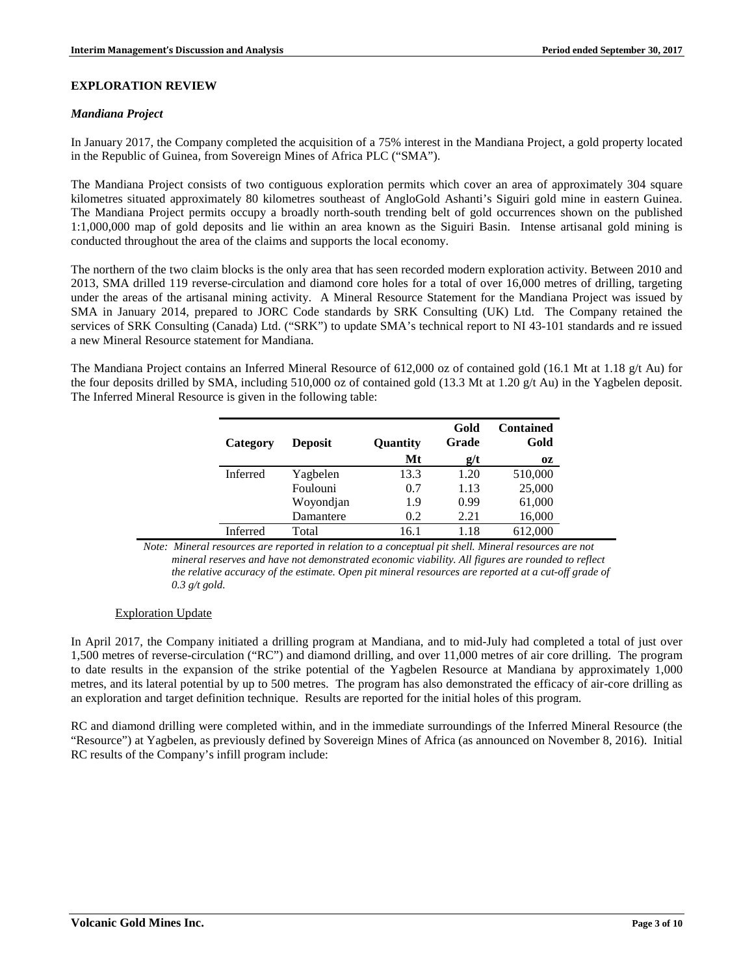# **EXPLORATION REVIEW**

#### *Mandiana Project*

In January 2017, the Company completed the acquisition of a 75% interest in the Mandiana Project, a gold property located in the Republic of Guinea, from Sovereign Mines of Africa PLC ("SMA").

The Mandiana Project consists of two contiguous exploration permits which cover an area of approximately 304 square kilometres situated approximately 80 kilometres southeast of AngloGold Ashanti's Siguiri gold mine in eastern Guinea. The Mandiana Project permits occupy a broadly north-south trending belt of gold occurrences shown on the published 1:1,000,000 map of gold deposits and lie within an area known as the Siguiri Basin. Intense artisanal gold mining is conducted throughout the area of the claims and supports the local economy.

The northern of the two claim blocks is the only area that has seen recorded modern exploration activity. Between 2010 and 2013, SMA drilled 119 reverse-circulation and diamond core holes for a total of over 16,000 metres of drilling, targeting under the areas of the artisanal mining activity. A Mineral Resource Statement for the Mandiana Project was issued by SMA in January 2014, prepared to JORC Code standards by SRK Consulting (UK) Ltd. The Company retained the services of SRK Consulting (Canada) Ltd. ("SRK") to update SMA's technical report to NI 43-101 standards and re issued a new Mineral Resource statement for Mandiana.

The Mandiana Project contains an Inferred Mineral Resource of 612,000 oz of contained gold (16.1 Mt at 1.18 g/t Au) for the four deposits drilled by SMA, including 510,000 oz of contained gold (13.3 Mt at 1.20 g/t Au) in the Yagbelen deposit. The Inferred Mineral Resource is given in the following table:

| Category        | <b>Deposit</b> | Quantity | Gold<br>Grade | <b>Contained</b><br>Gold |
|-----------------|----------------|----------|---------------|--------------------------|
|                 |                | Mt       | g/t           | 0Z                       |
| Inferred        | Yagbelen       | 13.3     | 1.20          | 510,000                  |
|                 | Foulouni       | 0.7      | 1.13          | 25,000                   |
|                 | Woyondjan      | 1.9      | 0.99          | 61,000                   |
|                 | Damantere      | 0.2      | 2.21          | 16,000                   |
| <b>Inferred</b> | Total          | 16.1     | 1.18          | 612.000                  |

*Note: Mineral resources are reported in relation to a conceptual pit shell. Mineral resources are not mineral reserves and have not demonstrated economic viability. All figures are rounded to reflect the relative accuracy of the estimate. Open pit mineral resources are reported at a cut-off grade of 0.3 g/t gold.* 

## Exploration Update

In April 2017, the Company initiated a drilling program at Mandiana, and to mid-July had completed a total of just over 1,500 metres of reverse-circulation ("RC") and diamond drilling, and over 11,000 metres of air core drilling. The program to date results in the expansion of the strike potential of the Yagbelen Resource at Mandiana by approximately 1,000 metres, and its lateral potential by up to 500 metres. The program has also demonstrated the efficacy of air-core drilling as an exploration and target definition technique. Results are reported for the initial holes of this program.

RC and diamond drilling were completed within, and in the immediate surroundings of the Inferred Mineral Resource (the "Resource") at Yagbelen, as previously defined by Sovereign Mines of Africa (as announced on November 8, 2016). Initial RC results of the Company's infill program include: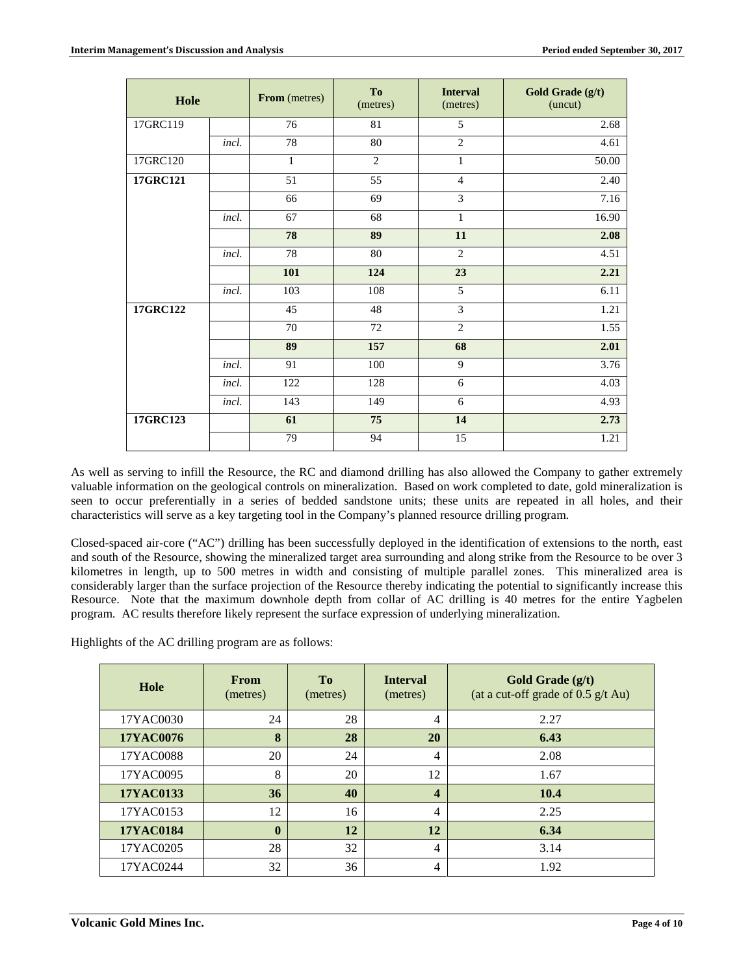| Hole     |       | From (metres) | To<br>(metres)  | <b>Interval</b><br>(metres) | Gold Grade (g/t)<br>(uncut) |
|----------|-------|---------------|-----------------|-----------------------------|-----------------------------|
| 17GRC119 |       | 76            | 81              | 5                           | 2.68                        |
|          | incl. | 78            | $\overline{80}$ | $\overline{2}$              | 4.61                        |
| 17GRC120 |       | $\mathbf{1}$  | $\overline{2}$  | $\mathbf{1}$                | 50.00                       |
| 17GRC121 |       | 51            | 55              | $\overline{4}$              | 2.40                        |
|          |       | 66            | 69              | $\overline{3}$              | 7.16                        |
|          | incl. | 67            | 68              | $\mathbf 1$                 | 16.90                       |
|          |       | 78            | 89              | 11                          | 2.08                        |
|          | incl. | 78            | 80              | $\overline{2}$              | 4.51                        |
|          |       | 101           | 124             | 23                          | 2.21                        |
|          | incl. | 103           | 108             | 5                           | 6.11                        |
| 17GRC122 |       | 45            | 48              | 3                           | 1.21                        |
|          |       | 70            | 72              | $\overline{2}$              | 1.55                        |
|          |       | 89            | 157             | 68                          | 2.01                        |
|          | incl. | 91            | 100             | 9                           | 3.76                        |
|          | incl. | 122           | 128             | 6                           | 4.03                        |
|          | incl. | 143           | 149             | 6                           | 4.93                        |
| 17GRC123 |       | 61            | 75              | 14                          | 2.73                        |
|          |       | 79            | 94              | 15                          | 1.21                        |

As well as serving to infill the Resource, the RC and diamond drilling has also allowed the Company to gather extremely valuable information on the geological controls on mineralization. Based on work completed to date, gold mineralization is seen to occur preferentially in a series of bedded sandstone units; these units are repeated in all holes, and their characteristics will serve as a key targeting tool in the Company's planned resource drilling program.

Closed-spaced air-core ("AC") drilling has been successfully deployed in the identification of extensions to the north, east and south of the Resource, showing the mineralized target area surrounding and along strike from the Resource to be over 3 kilometres in length, up to 500 metres in width and consisting of multiple parallel zones. This mineralized area is considerably larger than the surface projection of the Resource thereby indicating the potential to significantly increase this Resource. Note that the maximum downhole depth from collar of AC drilling is 40 metres for the entire Yagbelen program. AC results therefore likely represent the surface expression of underlying mineralization.

Highlights of the AC drilling program are as follows:

| Hole      | <b>From</b><br>(metres) | T <sub>0</sub><br>(metres) | <b>Interval</b><br>(metres) | Gold Grade (g/t)<br>(at a cut-off grade of $0.5$ g/t Au) |
|-----------|-------------------------|----------------------------|-----------------------------|----------------------------------------------------------|
| 17YAC0030 | 24                      | 28                         | 4                           | 2.27                                                     |
| 17YAC0076 | 8                       | 28                         | 20                          | 6.43                                                     |
| 17YAC0088 | 20                      | 24                         | 4                           | 2.08                                                     |
| 17YAC0095 | 8                       | 20                         | 12                          | 1.67                                                     |
| 17YAC0133 | 36                      | 40                         | 4                           | 10.4                                                     |
| 17YAC0153 | 12                      | 16                         | 4                           | 2.25                                                     |
| 17YAC0184 | $\mathbf{0}$            | 12                         | 12                          | 6.34                                                     |
| 17YAC0205 | 28                      | 32                         | $\overline{4}$              | 3.14                                                     |
| 17YAC0244 | 32                      | 36                         | 4                           | 1.92                                                     |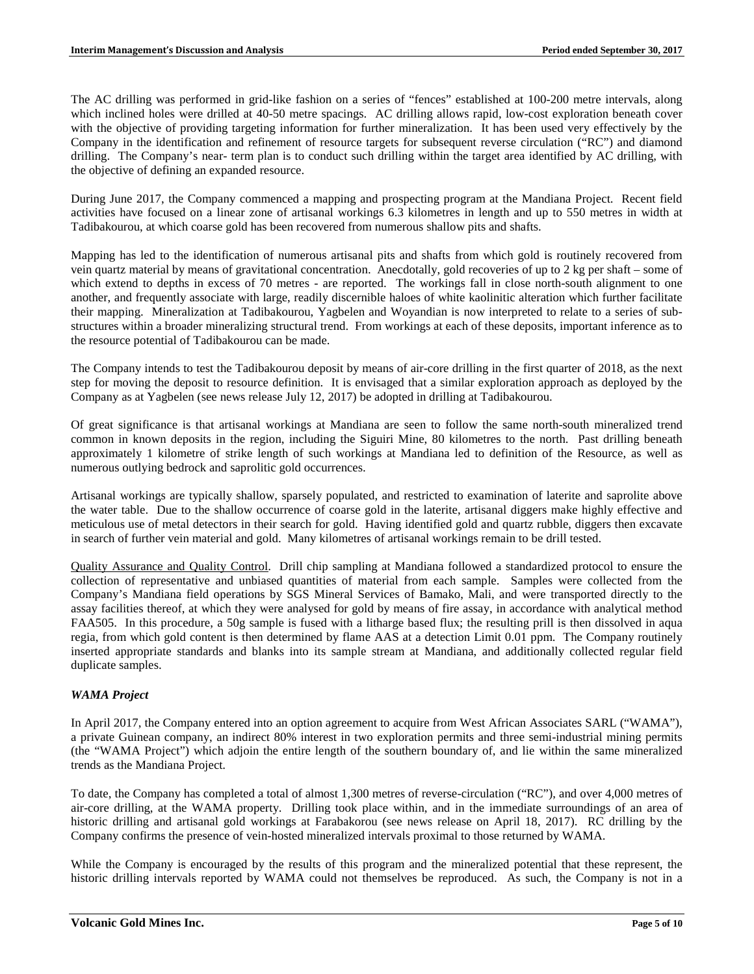The AC drilling was performed in grid-like fashion on a series of "fences" established at 100-200 metre intervals, along which inclined holes were drilled at 40-50 metre spacings. AC drilling allows rapid, low-cost exploration beneath cover with the objective of providing targeting information for further mineralization. It has been used very effectively by the Company in the identification and refinement of resource targets for subsequent reverse circulation ("RC") and diamond drilling. The Company's near- term plan is to conduct such drilling within the target area identified by AC drilling, with the objective of defining an expanded resource.

During June 2017, the Company commenced a mapping and prospecting program at the Mandiana Project. Recent field activities have focused on a linear zone of artisanal workings 6.3 kilometres in length and up to 550 metres in width at Tadibakourou, at which coarse gold has been recovered from numerous shallow pits and shafts.

Mapping has led to the identification of numerous artisanal pits and shafts from which gold is routinely recovered from vein quartz material by means of gravitational concentration. Anecdotally, gold recoveries of up to 2 kg per shaft – some of which extend to depths in excess of 70 metres - are reported. The workings fall in close north-south alignment to one another, and frequently associate with large, readily discernible haloes of white kaolinitic alteration which further facilitate their mapping. Mineralization at Tadibakourou, Yagbelen and Woyandian is now interpreted to relate to a series of substructures within a broader mineralizing structural trend. From workings at each of these deposits, important inference as to the resource potential of Tadibakourou can be made.

The Company intends to test the Tadibakourou deposit by means of air-core drilling in the first quarter of 2018, as the next step for moving the deposit to resource definition. It is envisaged that a similar exploration approach as deployed by the Company as at Yagbelen (see news release July 12, 2017) be adopted in drilling at Tadibakourou.

Of great significance is that artisanal workings at Mandiana are seen to follow the same north-south mineralized trend common in known deposits in the region, including the Siguiri Mine, 80 kilometres to the north. Past drilling beneath approximately 1 kilometre of strike length of such workings at Mandiana led to definition of the Resource, as well as numerous outlying bedrock and saprolitic gold occurrences.

Artisanal workings are typically shallow, sparsely populated, and restricted to examination of laterite and saprolite above the water table. Due to the shallow occurrence of coarse gold in the laterite, artisanal diggers make highly effective and meticulous use of metal detectors in their search for gold. Having identified gold and quartz rubble, diggers then excavate in search of further vein material and gold. Many kilometres of artisanal workings remain to be drill tested.

Quality Assurance and Quality Control. Drill chip sampling at Mandiana followed a standardized protocol to ensure the collection of representative and unbiased quantities of material from each sample. Samples were collected from the Company's Mandiana field operations by SGS Mineral Services of Bamako, Mali, and were transported directly to the assay facilities thereof, at which they were analysed for gold by means of fire assay, in accordance with analytical method FAA505. In this procedure, a 50g sample is fused with a litharge based flux; the resulting prill is then dissolved in aqua regia, from which gold content is then determined by flame AAS at a detection Limit 0.01 ppm. The Company routinely inserted appropriate standards and blanks into its sample stream at Mandiana, and additionally collected regular field duplicate samples.

## *WAMA Project*

In April 2017, the Company entered into an option agreement to acquire from West African Associates SARL ("WAMA"), a private Guinean company, an indirect 80% interest in two exploration permits and three semi-industrial mining permits (the "WAMA Project") which adjoin the entire length of the southern boundary of, and lie within the same mineralized trends as the Mandiana Project.

To date, the Company has completed a total of almost 1,300 metres of reverse-circulation ("RC"), and over 4,000 metres of air-core drilling, at the WAMA property. Drilling took place within, and in the immediate surroundings of an area of historic drilling and artisanal gold workings at Farabakorou (see news release on April 18, 2017). RC drilling by the Company confirms the presence of vein-hosted mineralized intervals proximal to those returned by WAMA.

While the Company is encouraged by the results of this program and the mineralized potential that these represent, the historic drilling intervals reported by WAMA could not themselves be reproduced. As such, the Company is not in a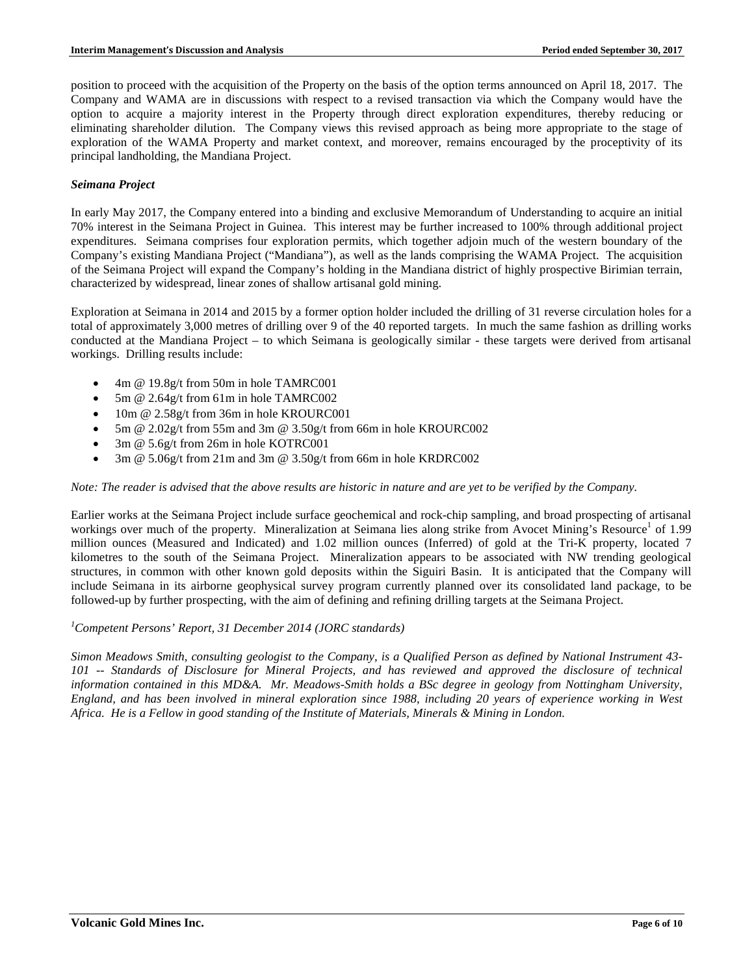position to proceed with the acquisition of the Property on the basis of the option terms announced on April 18, 2017. The Company and WAMA are in discussions with respect to a revised transaction via which the Company would have the option to acquire a majority interest in the Property through direct exploration expenditures, thereby reducing or eliminating shareholder dilution. The Company views this revised approach as being more appropriate to the stage of exploration of the WAMA Property and market context, and moreover, remains encouraged by the proceptivity of its principal landholding, the Mandiana Project.

## *Seimana Project*

In early May 2017, the Company entered into a binding and exclusive Memorandum of Understanding to acquire an initial 70% interest in the Seimana Project in Guinea. This interest may be further increased to 100% through additional project expenditures. Seimana comprises four exploration permits, which together adjoin much of the western boundary of the Company's existing Mandiana Project ("Mandiana"), as well as the lands comprising the WAMA Project. The acquisition of the Seimana Project will expand the Company's holding in the Mandiana district of highly prospective Birimian terrain, characterized by widespread, linear zones of shallow artisanal gold mining.

Exploration at Seimana in 2014 and 2015 by a former option holder included the drilling of 31 reverse circulation holes for a total of approximately 3,000 metres of drilling over 9 of the 40 reported targets. In much the same fashion as drilling works conducted at the Mandiana Project – to which Seimana is geologically similar - these targets were derived from artisanal workings. Drilling results include:

- 4m @ 19.8g/t from 50m in hole TAMRC001
- 5m @ 2.64g/t from 61m in hole TAMRC002
- 10m @ 2.58g/t from 36m in hole KROURC001
- 5m @ 2.02g/t from 55m and 3m @ 3.50g/t from 66m in hole KROURC002
- 3m @ 5.6g/t from 26m in hole KOTRC001
- 3m @ 5.06g/t from 21m and 3m @ 3.50g/t from 66m in hole KRDRC002

#### *Note: The reader is advised that the above results are historic in nature and are yet to be verified by the Company.*

Earlier works at the Seimana Project include surface geochemical and rock-chip sampling, and broad prospecting of artisanal workings over much of the property. Mineralization at Seimana lies along strike from Avocet Mining's Resource<sup>1</sup> of 1.99 million ounces (Measured and Indicated) and 1.02 million ounces (Inferred) of gold at the Tri-K property, located 7 kilometres to the south of the Seimana Project. Mineralization appears to be associated with NW trending geological structures, in common with other known gold deposits within the Siguiri Basin. It is anticipated that the Company will include Seimana in its airborne geophysical survey program currently planned over its consolidated land package, to be followed-up by further prospecting, with the aim of defining and refining drilling targets at the Seimana Project.

# *1 Competent Persons' Report, 31 December 2014 (JORC standards)*

*Simon Meadows Smith, consulting geologist to the Company, is a Qualified Person as defined by National Instrument 43- 101 -- Standards of Disclosure for Mineral Projects, and has reviewed and approved the disclosure of technical information contained in this MD&A. Mr. Meadows-Smith holds a BSc degree in geology from Nottingham University, England, and has been involved in mineral exploration since 1988, including 20 years of experience working in West Africa. He is a Fellow in good standing of the Institute of Materials, Minerals & Mining in London.*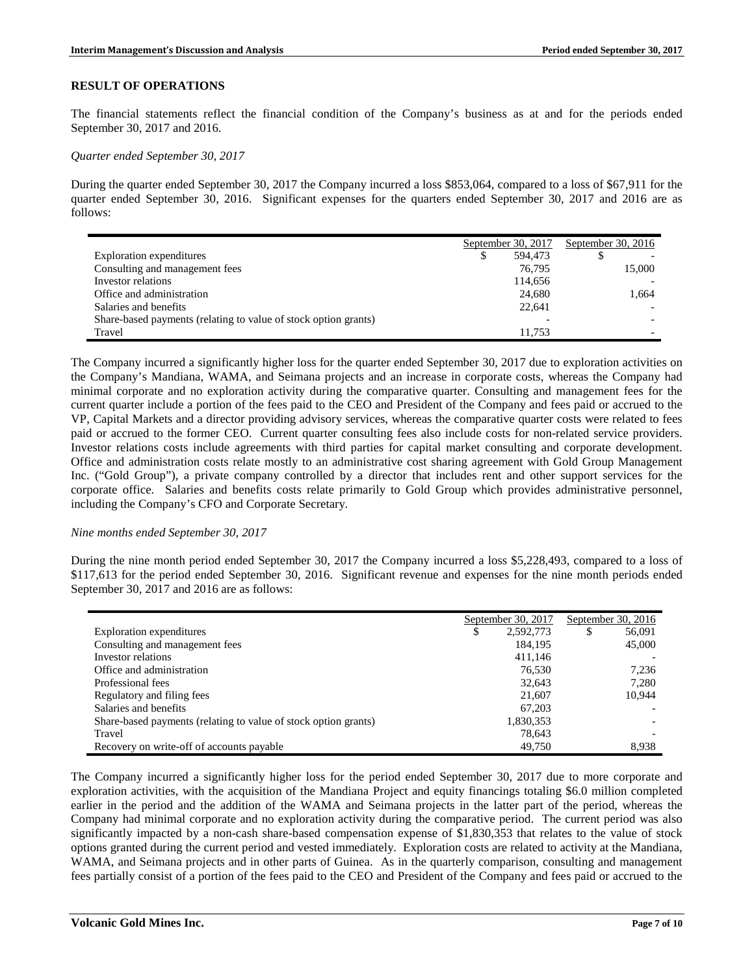## **RESULT OF OPERATIONS**

The financial statements reflect the financial condition of the Company's business as at and for the periods ended September 30, 2017 and 2016.

*Quarter ended September 30, 2017*

During the quarter ended September 30, 2017 the Company incurred a loss \$853,064, compared to a loss of \$67,911 for the quarter ended September 30, 2016. Significant expenses for the quarters ended September 30, 2017 and 2016 are as follows:

|                                                                 |   | September 30, 2017 |  | September 30, $2016$ |  |
|-----------------------------------------------------------------|---|--------------------|--|----------------------|--|
| Exploration expenditures                                        | S | 594,473            |  |                      |  |
| Consulting and management fees                                  |   | 76.795             |  | 15,000               |  |
| Investor relations                                              |   | 114,656            |  |                      |  |
| Office and administration                                       |   | 24,680             |  | 1.664                |  |
| Salaries and benefits                                           |   | 22,641             |  |                      |  |
| Share-based payments (relating to value of stock option grants) |   |                    |  |                      |  |
| Travel                                                          |   | 11.753             |  |                      |  |

The Company incurred a significantly higher loss for the quarter ended September 30, 2017 due to exploration activities on the Company's Mandiana, WAMA, and Seimana projects and an increase in corporate costs, whereas the Company had minimal corporate and no exploration activity during the comparative quarter. Consulting and management fees for the current quarter include a portion of the fees paid to the CEO and President of the Company and fees paid or accrued to the VP, Capital Markets and a director providing advisory services, whereas the comparative quarter costs were related to fees paid or accrued to the former CEO. Current quarter consulting fees also include costs for non-related service providers. Investor relations costs include agreements with third parties for capital market consulting and corporate development. Office and administration costs relate mostly to an administrative cost sharing agreement with Gold Group Management Inc. ("Gold Group"), a private company controlled by a director that includes rent and other support services for the corporate office. Salaries and benefits costs relate primarily to Gold Group which provides administrative personnel, including the Company's CFO and Corporate Secretary.

#### *Nine months ended September 30, 2017*

During the nine month period ended September 30, 2017 the Company incurred a loss \$5,228,493, compared to a loss of \$117,613 for the period ended September 30, 2016. Significant revenue and expenses for the nine month periods ended September 30, 2017 and 2016 are as follows:

|                                                                 | September 30, 2017 |           | September 30, 2016 |        |
|-----------------------------------------------------------------|--------------------|-----------|--------------------|--------|
| <b>Exploration expenditures</b>                                 | ¢<br>Φ             | 2,592,773 | \$                 | 56,091 |
| Consulting and management fees                                  |                    | 184.195   |                    | 45,000 |
| Investor relations                                              |                    | 411.146   |                    |        |
| Office and administration                                       |                    | 76,530    |                    | 7,236  |
| Professional fees                                               |                    | 32,643    |                    | 7.280  |
| Regulatory and filing fees                                      |                    | 21,607    |                    | 10.944 |
| Salaries and benefits                                           |                    | 67,203    |                    |        |
| Share-based payments (relating to value of stock option grants) |                    | 1,830,353 |                    |        |
| Travel                                                          |                    | 78,643    |                    |        |
| Recovery on write-off of accounts payable                       |                    | 49.750    |                    | 8.938  |

The Company incurred a significantly higher loss for the period ended September 30, 2017 due to more corporate and exploration activities, with the acquisition of the Mandiana Project and equity financings totaling \$6.0 million completed earlier in the period and the addition of the WAMA and Seimana projects in the latter part of the period, whereas the Company had minimal corporate and no exploration activity during the comparative period. The current period was also significantly impacted by a non-cash share-based compensation expense of \$1,830,353 that relates to the value of stock options granted during the current period and vested immediately. Exploration costs are related to activity at the Mandiana, WAMA, and Seimana projects and in other parts of Guinea. As in the quarterly comparison, consulting and management fees partially consist of a portion of the fees paid to the CEO and President of the Company and fees paid or accrued to the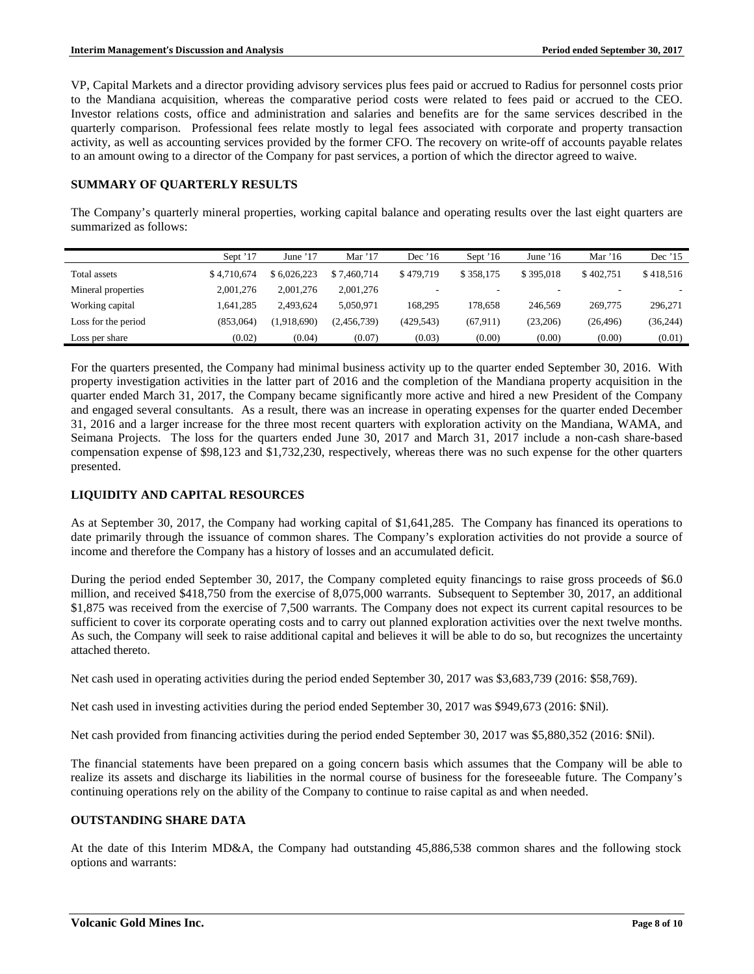VP, Capital Markets and a director providing advisory services plus fees paid or accrued to Radius for personnel costs prior to the Mandiana acquisition, whereas the comparative period costs were related to fees paid or accrued to the CEO. Investor relations costs, office and administration and salaries and benefits are for the same services described in the quarterly comparison. Professional fees relate mostly to legal fees associated with corporate and property transaction activity, as well as accounting services provided by the former CFO. The recovery on write-off of accounts payable relates to an amount owing to a director of the Company for past services, a portion of which the director agreed to waive.

## **SUMMARY OF QUARTERLY RESULTS**

The Company's quarterly mineral properties, working capital balance and operating results over the last eight quarters are summarized as follows:

|                     | Sept '17    | June $17$   | Mar $'17$   | Dec $'16$  | Sept '16  | June $16$ | Mar $16$  | Dec '15   |
|---------------------|-------------|-------------|-------------|------------|-----------|-----------|-----------|-----------|
| Total assets        | \$4.710.674 | \$6.026.223 | \$7.460,714 | \$479.719  | \$358.175 | \$395,018 | \$402.751 | \$418,516 |
| Mineral properties  | 2.001.276   | 2.001.276   | 2,001,276   |            |           |           |           |           |
| Working capital     | 1.641.285   | 2.493.624   | 5.050.971   | 168.295    | 178.658   | 246,569   | 269,775   | 296,271   |
| Loss for the period | (853.064)   | (1.918.690) | (2,456,739) | (429, 543) | (67, 911) | (23,206)  | (26, 496) | (36,244)  |
| Loss per share      | (0.02)      | (0.04)      | (0.07)      | (0.03)     | (0.00)    | (0.00)    | (0.00)    | (0.01)    |

For the quarters presented, the Company had minimal business activity up to the quarter ended September 30, 2016. With property investigation activities in the latter part of 2016 and the completion of the Mandiana property acquisition in the quarter ended March 31, 2017, the Company became significantly more active and hired a new President of the Company and engaged several consultants. As a result, there was an increase in operating expenses for the quarter ended December 31, 2016 and a larger increase for the three most recent quarters with exploration activity on the Mandiana, WAMA, and Seimana Projects. The loss for the quarters ended June 30, 2017 and March 31, 2017 include a non-cash share-based compensation expense of \$98,123 and \$1,732,230, respectively, whereas there was no such expense for the other quarters presented.

## **LIQUIDITY AND CAPITAL RESOURCES**

As at September 30, 2017, the Company had working capital of \$1,641,285. The Company has financed its operations to date primarily through the issuance of common shares. The Company's exploration activities do not provide a source of income and therefore the Company has a history of losses and an accumulated deficit.

During the period ended September 30, 2017, the Company completed equity financings to raise gross proceeds of \$6.0 million, and received \$418,750 from the exercise of 8,075,000 warrants. Subsequent to September 30, 2017, an additional \$1,875 was received from the exercise of 7,500 warrants. The Company does not expect its current capital resources to be sufficient to cover its corporate operating costs and to carry out planned exploration activities over the next twelve months. As such, the Company will seek to raise additional capital and believes it will be able to do so, but recognizes the uncertainty attached thereto.

Net cash used in operating activities during the period ended September 30, 2017 was \$3,683,739 (2016: \$58,769).

Net cash used in investing activities during the period ended September 30, 2017 was \$949,673 (2016: \$Nil).

Net cash provided from financing activities during the period ended September 30, 2017 was \$5,880,352 (2016: \$Nil).

The financial statements have been prepared on a going concern basis which assumes that the Company will be able to realize its assets and discharge its liabilities in the normal course of business for the foreseeable future. The Company's continuing operations rely on the ability of the Company to continue to raise capital as and when needed.

# **OUTSTANDING SHARE DATA**

At the date of this Interim MD&A, the Company had outstanding 45,886,538 common shares and the following stock options and warrants: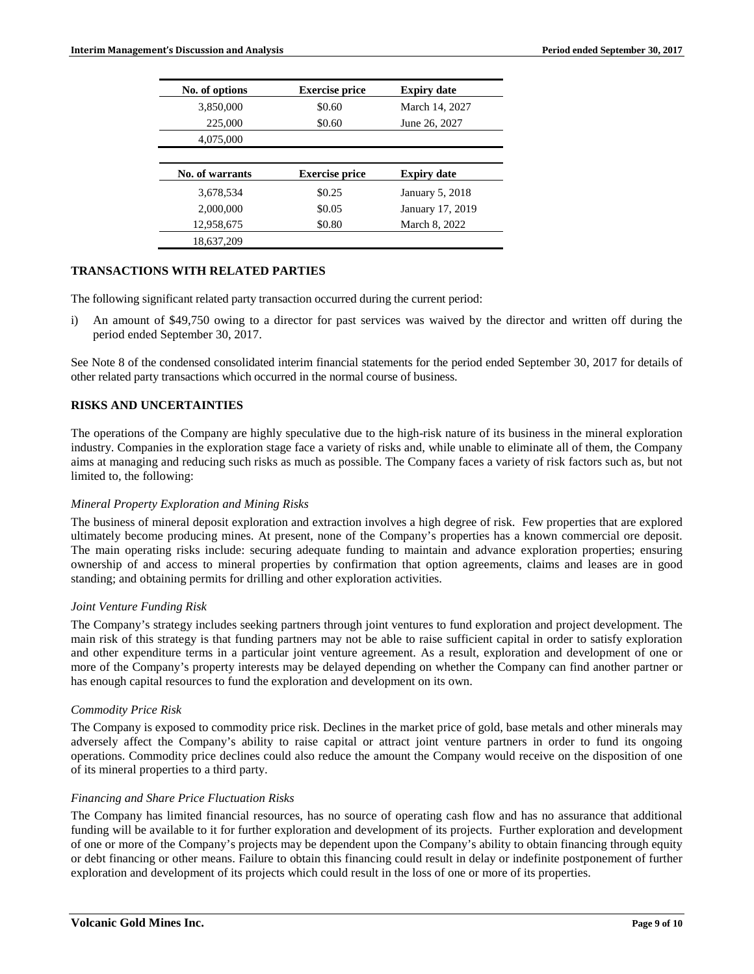| No. of options         | <b>Exercise price</b> | <b>Expiry date</b> |
|------------------------|-----------------------|--------------------|
| 3,850,000              | \$0.60                | March 14, 2027     |
| 225,000                | \$0.60                | June 26, 2027      |
| 4,075,000              |                       |                    |
|                        |                       |                    |
| <b>No. of warrants</b> | <b>Exercise price</b> | <b>Expiry date</b> |
| 3.678.534              | \$0.25                | January 5, 2018    |
|                        |                       |                    |
| 2,000,000              | \$0.05                | January 17, 2019   |
| 12,958,675             | \$0.80                | March 8, 2022      |

# **TRANSACTIONS WITH RELATED PARTIES**

The following significant related party transaction occurred during the current period:

i) An amount of \$49,750 owing to a director for past services was waived by the director and written off during the period ended September 30, 2017.

See Note 8 of the condensed consolidated interim financial statements for the period ended September 30, 2017 for details of other related party transactions which occurred in the normal course of business.

## **RISKS AND UNCERTAINTIES**

The operations of the Company are highly speculative due to the high-risk nature of its business in the mineral exploration industry. Companies in the exploration stage face a variety of risks and, while unable to eliminate all of them, the Company aims at managing and reducing such risks as much as possible. The Company faces a variety of risk factors such as, but not limited to, the following:

#### *Mineral Property Exploration and Mining Risks*

The business of mineral deposit exploration and extraction involves a high degree of risk. Few properties that are explored ultimately become producing mines. At present, none of the Company's properties has a known commercial ore deposit. The main operating risks include: securing adequate funding to maintain and advance exploration properties; ensuring ownership of and access to mineral properties by confirmation that option agreements, claims and leases are in good standing; and obtaining permits for drilling and other exploration activities.

#### *Joint Venture Funding Risk*

The Company's strategy includes seeking partners through joint ventures to fund exploration and project development. The main risk of this strategy is that funding partners may not be able to raise sufficient capital in order to satisfy exploration and other expenditure terms in a particular joint venture agreement. As a result, exploration and development of one or more of the Company's property interests may be delayed depending on whether the Company can find another partner or has enough capital resources to fund the exploration and development on its own.

#### *Commodity Price Risk*

The Company is exposed to commodity price risk. Declines in the market price of gold, base metals and other minerals may adversely affect the Company's ability to raise capital or attract joint venture partners in order to fund its ongoing operations. Commodity price declines could also reduce the amount the Company would receive on the disposition of one of its mineral properties to a third party.

#### *Financing and Share Price Fluctuation Risks*

The Company has limited financial resources, has no source of operating cash flow and has no assurance that additional funding will be available to it for further exploration and development of its projects. Further exploration and development of one or more of the Company's projects may be dependent upon the Company's ability to obtain financing through equity or debt financing or other means. Failure to obtain this financing could result in delay or indefinite postponement of further exploration and development of its projects which could result in the loss of one or more of its properties.